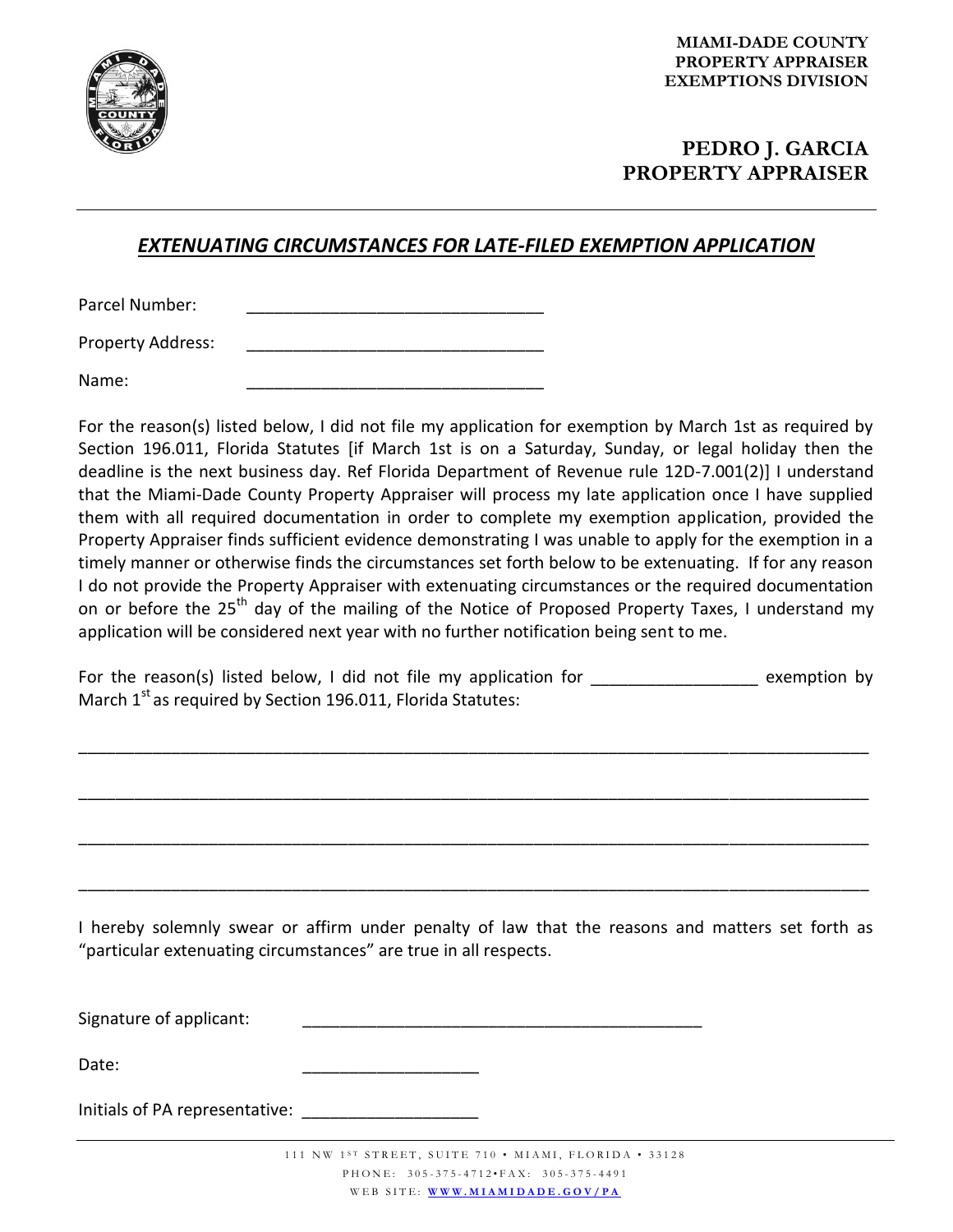

## **PEDRO J. GARCIA PROPERTY APPRAISER**

## *EXTENUATING CIRCUMSTANCES FOR LATE-FILED EXEMPTION APPLICATION*

Parcel Number:

Property Address:

Name: \_\_\_\_\_\_\_\_\_\_\_\_\_\_\_\_\_\_\_\_\_\_\_\_\_\_\_\_\_\_\_\_

For the reason(s) listed below, I did not file my application for exemption by March 1st as required by Section 196.011, Florida Statutes [if March 1st is on a Saturday, Sunday, or legal holiday then the deadline is the next business day. Ref Florida Department of Revenue rule 12D-7.001(2)] I understand that the Miami-Dade County Property Appraiser will process my late application once I have supplied them with all required documentation in order to complete my exemption application, provided the Property Appraiser finds sufficient evidence demonstrating I was unable to apply for the exemption in a timely manner or otherwise finds the circumstances set forth below to be extenuating. If for any reason I do not provide the Property Appraiser with extenuating circumstances or the required documentation on or before the 25<sup>th</sup> day of the mailing of the Notice of Proposed Property Taxes, I understand my application will be considered next year with no further notification being sent to me.

For the reason(s) listed below, I did not file my application for \_\_\_\_\_\_\_\_\_\_\_\_\_\_\_\_\_\_\_ exemption by March  $1<sup>st</sup>$  as required by Section 196.011, Florida Statutes:

\_\_\_\_\_\_\_\_\_\_\_\_\_\_\_\_\_\_\_\_\_\_\_\_\_\_\_\_\_\_\_\_\_\_\_\_\_\_\_\_\_\_\_\_\_\_\_\_\_\_\_\_\_\_\_\_\_\_\_\_\_\_\_\_\_\_\_\_\_\_\_\_\_\_\_\_\_\_\_\_\_\_\_\_\_

\_\_\_\_\_\_\_\_\_\_\_\_\_\_\_\_\_\_\_\_\_\_\_\_\_\_\_\_\_\_\_\_\_\_\_\_\_\_\_\_\_\_\_\_\_\_\_\_\_\_\_\_\_\_\_\_\_\_\_\_\_\_\_\_\_\_\_\_\_\_\_\_\_\_\_\_\_\_\_\_\_\_\_\_\_

\_\_\_\_\_\_\_\_\_\_\_\_\_\_\_\_\_\_\_\_\_\_\_\_\_\_\_\_\_\_\_\_\_\_\_\_\_\_\_\_\_\_\_\_\_\_\_\_\_\_\_\_\_\_\_\_\_\_\_\_\_\_\_\_\_\_\_\_\_\_\_\_\_\_\_\_\_\_\_\_\_\_\_\_\_

\_\_\_\_\_\_\_\_\_\_\_\_\_\_\_\_\_\_\_\_\_\_\_\_\_\_\_\_\_\_\_\_\_\_\_\_\_\_\_\_\_\_\_\_\_\_\_\_\_\_\_\_\_\_\_\_\_\_\_\_\_\_\_\_\_\_\_\_\_\_\_\_\_\_\_\_\_\_\_\_\_\_\_\_\_

I hereby solemnly swear or affirm under penalty of law that the reasons and matters set forth as "particular extenuating circumstances" are true in all respects.

Signature of applicant:

Date: \_\_\_\_\_\_\_\_\_\_\_\_\_\_\_\_\_\_\_

Initials of PA representative: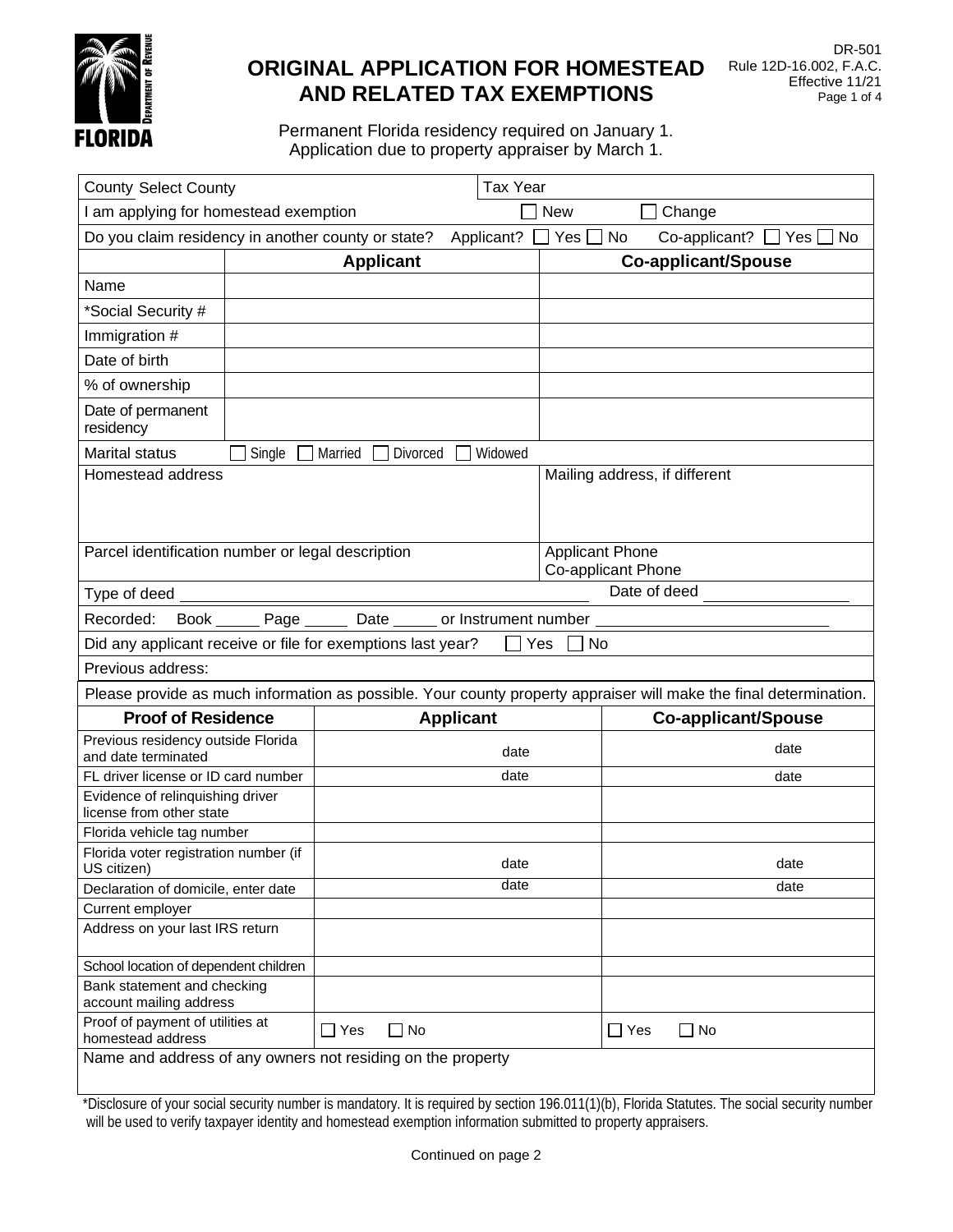

# **ORIGINAL APPLICATION FOR HOMESTEAD AND RELATED TAX EXEMPTIONS**

Permanent Florida residency required on January 1. Application due to property appraiser by March 1.

|                                                                                                              | <b>Tax Year</b><br><b>County Select County</b>                                                                    |                                                             |                      |                                              |                            |
|--------------------------------------------------------------------------------------------------------------|-------------------------------------------------------------------------------------------------------------------|-------------------------------------------------------------|----------------------|----------------------------------------------|----------------------------|
| I am applying for homestead exemption                                                                        |                                                                                                                   |                                                             |                      | <b>New</b><br>Change                         |                            |
| Do you claim residency in another county or state?<br>Applicant?<br>Yes<br>No<br>$Co$ -applicant? $\Box$ Yes |                                                                                                                   |                                                             | No                   |                                              |                            |
|                                                                                                              |                                                                                                                   | <b>Applicant</b>                                            |                      |                                              | <b>Co-applicant/Spouse</b> |
| Name                                                                                                         |                                                                                                                   |                                                             |                      |                                              |                            |
| *Social Security #                                                                                           |                                                                                                                   |                                                             |                      |                                              |                            |
| Immigration #                                                                                                |                                                                                                                   |                                                             |                      |                                              |                            |
| Date of birth                                                                                                |                                                                                                                   |                                                             |                      |                                              |                            |
| % of ownership                                                                                               |                                                                                                                   |                                                             |                      |                                              |                            |
| Date of permanent<br>residency                                                                               |                                                                                                                   |                                                             |                      |                                              |                            |
| <b>Marital status</b>                                                                                        | Single                                                                                                            | Married<br>Divorced                                         | Widowed              |                                              |                            |
| Homestead address<br>Mailing address, if different                                                           |                                                                                                                   |                                                             |                      |                                              |                            |
| Parcel identification number or legal description                                                            |                                                                                                                   |                                                             |                      | <b>Applicant Phone</b><br>Co-applicant Phone |                            |
| Type of deed $\_$                                                                                            |                                                                                                                   |                                                             |                      | Date of deed                                 |                            |
| Recorded:<br><b>Book</b>                                                                                     | Page_                                                                                                             | Date                                                        | or Instrument number |                                              |                            |
|                                                                                                              |                                                                                                                   | Did any applicant receive or file for exemptions last year? | Yes                  | No                                           |                            |
| Previous address:                                                                                            |                                                                                                                   |                                                             |                      |                                              |                            |
|                                                                                                              | Please provide as much information as possible. Your county property appraiser will make the final determination. |                                                             |                      |                                              |                            |
|                                                                                                              |                                                                                                                   |                                                             |                      |                                              |                            |
| <b>Proof of Residence</b>                                                                                    |                                                                                                                   | <b>Applicant</b>                                            |                      |                                              | <b>Co-applicant/Spouse</b> |
| Previous residency outside Florida<br>and date terminated                                                    |                                                                                                                   |                                                             | date                 |                                              | date                       |
| FL driver license or ID card number                                                                          |                                                                                                                   |                                                             | date                 |                                              | date                       |
| Evidence of relinquishing driver<br>license from other state                                                 |                                                                                                                   |                                                             |                      |                                              |                            |
| Florida vehicle tag number                                                                                   |                                                                                                                   |                                                             |                      |                                              |                            |
| Florida voter registration number (if                                                                        |                                                                                                                   |                                                             | date                 |                                              | date                       |
| US citizen)<br>Declaration of domicile, enter date                                                           |                                                                                                                   |                                                             | date                 |                                              | date                       |
| Current employer                                                                                             |                                                                                                                   |                                                             |                      |                                              |                            |
| Address on your last IRS return                                                                              |                                                                                                                   |                                                             |                      |                                              |                            |
| School location of dependent children                                                                        |                                                                                                                   |                                                             |                      |                                              |                            |
| Bank statement and checking<br>account mailing address                                                       |                                                                                                                   |                                                             |                      |                                              |                            |
| Proof of payment of utilities at<br>homestead address                                                        |                                                                                                                   | $\Box$ No<br>$\Box$ Yes                                     |                      | $\Box$ Yes                                   | $\square$ No               |

\*Disclosure of your social security number is mandatory. It is required by section 196.011(1)(b), Florida Statutes. The social security number will be used to verify taxpayer identity and homestead exemption information submitted to property appraisers.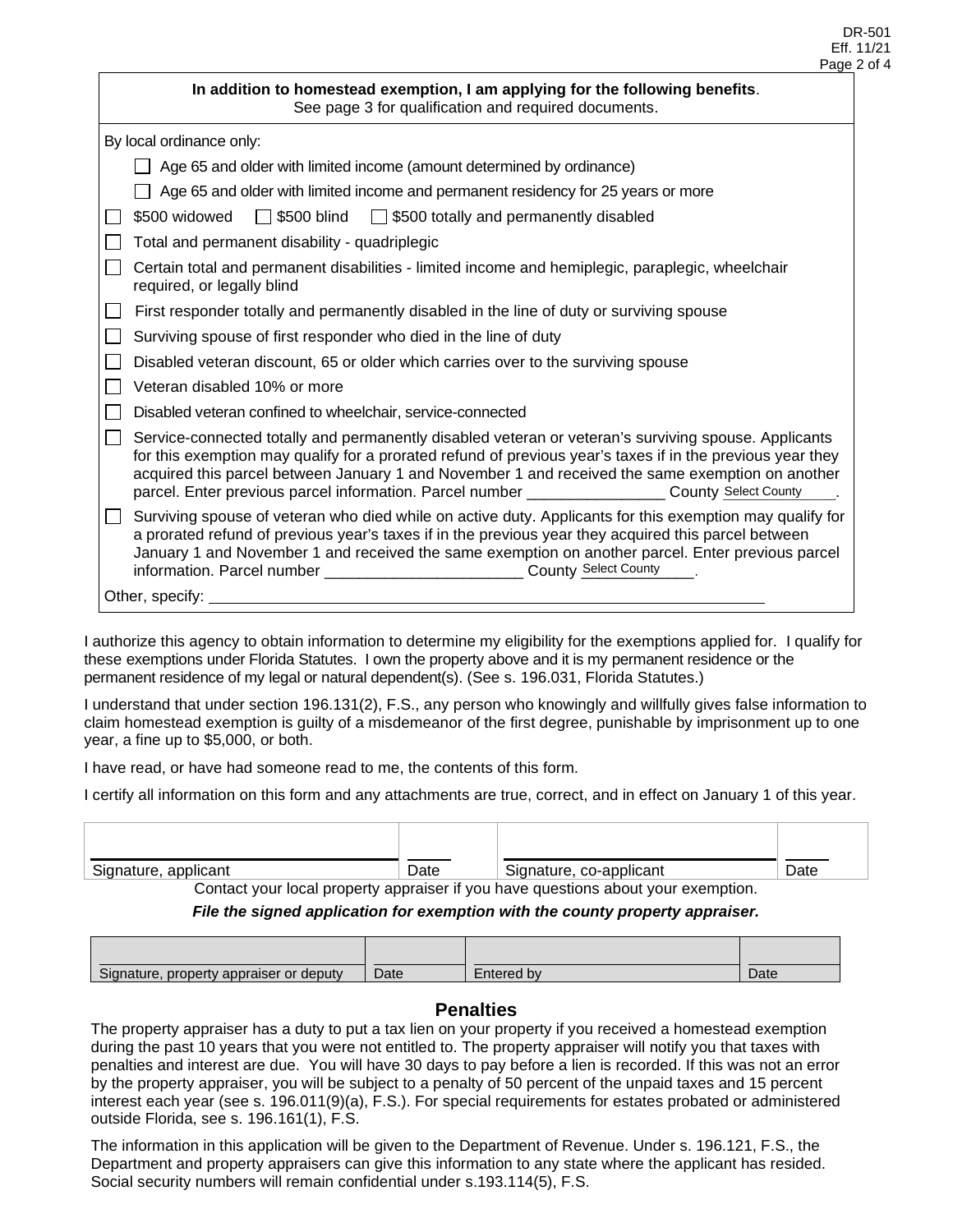| In addition to homestead exemption, I am applying for the following benefits.<br>See page 3 for qualification and required documents.                                                                                                                                                                                                                                                                                          |
|--------------------------------------------------------------------------------------------------------------------------------------------------------------------------------------------------------------------------------------------------------------------------------------------------------------------------------------------------------------------------------------------------------------------------------|
| By local ordinance only:                                                                                                                                                                                                                                                                                                                                                                                                       |
| Age 65 and older with limited income (amount determined by ordinance)                                                                                                                                                                                                                                                                                                                                                          |
| Age 65 and older with limited income and permanent residency for 25 years or more                                                                                                                                                                                                                                                                                                                                              |
| $\Box$ \$500 blind<br>\$500 totally and permanently disabled<br>\$500 widowed                                                                                                                                                                                                                                                                                                                                                  |
| Total and permanent disability - quadriplegic                                                                                                                                                                                                                                                                                                                                                                                  |
| Certain total and permanent disabilities - limited income and hemiplegic, paraplegic, wheelchair<br>required, or legally blind                                                                                                                                                                                                                                                                                                 |
| First responder totally and permanently disabled in the line of duty or surviving spouse                                                                                                                                                                                                                                                                                                                                       |
| Surviving spouse of first responder who died in the line of duty                                                                                                                                                                                                                                                                                                                                                               |
| Disabled veteran discount, 65 or older which carries over to the surviving spouse                                                                                                                                                                                                                                                                                                                                              |
| Veteran disabled 10% or more                                                                                                                                                                                                                                                                                                                                                                                                   |
| Disabled veteran confined to wheelchair, service-connected                                                                                                                                                                                                                                                                                                                                                                     |
| Service-connected totally and permanently disabled veteran or veteran's surviving spouse. Applicants<br>for this exemption may qualify for a prorated refund of previous year's taxes if in the previous year they<br>acquired this parcel between January 1 and November 1 and received the same exemption on another<br>parcel. Enter previous parcel information. Parcel number ______________________ County Select County |
| Surviving spouse of veteran who died while on active duty. Applicants for this exemption may qualify for<br>a prorated refund of previous year's taxes if in the previous year they acquired this parcel between<br>January 1 and November 1 and received the same exemption on another parcel. Enter previous parcel<br>information. Parcel number ________________________________ County Select County                      |
| Other, specify:                                                                                                                                                                                                                                                                                                                                                                                                                |

I authorize this agency to obtain information to determine my eligibility for the exemptions applied for. I qualify for these exemptions under Florida Statutes. I own the property above and it is my permanent residence or the permanent residence of my legal or natural dependent(s). (See s. 196.031, Florida Statutes.)

I understand that under section 196.131(2), F.S., any person who knowingly and willfully gives false information to claim homestead exemption is guilty of a misdemeanor of the first degree, punishable by imprisonment up to one year, a fine up to \$5,000, or both.

I have read, or have had someone read to me, the contents of this form.

I certify all information on this form and any attachments are true, correct, and in effect on January 1 of this year.

| Signature,<br>applicant | Date | co-applicant<br>Signature, | Date |
|-------------------------|------|----------------------------|------|

Contact your local property appraiser if you have questions about your exemption.

*File the signed application for exemption with the county property appraiser.*

| Signature.<br>appraiser or <b>a</b><br>property <i>f</i><br><sup>.</sup> deputv | Date | ≘ntered b∨ | Date |
|---------------------------------------------------------------------------------|------|------------|------|

### **Penalties**

The property appraiser has a duty to put a tax lien on your property if you received a homestead exemption during the past 10 years that you were not entitled to. The property appraiser will notify you that taxes with penalties and interest are due. You will have 30 days to pay before a lien is recorded. If this was not an error by the property appraiser, you will be subject to a penalty of 50 percent of the unpaid taxes and 15 percent interest each year (see s. 196.011(9)(a), F.S.). For special requirements for estates probated or administered outside Florida, see s. 196.161(1), F.S.

The information in this application will be given to the Department of Revenue. Under s. 196.121, F.S., the Department and property appraisers can give this information to any state where the applicant has resided. Social security numbers will remain confidential under s.193.114(5), F.S.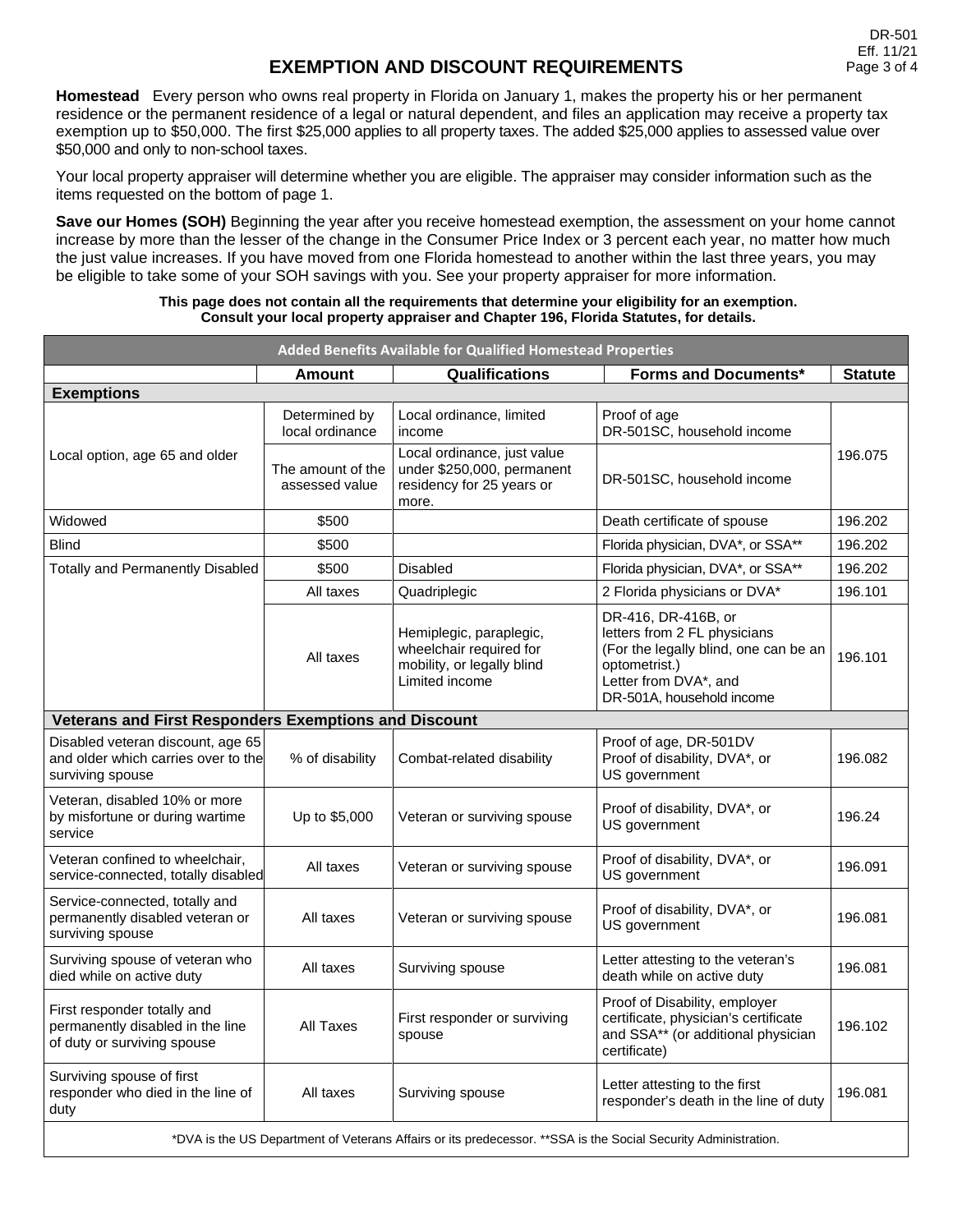## **EXEMPTION AND DISCOUNT REQUIREMENTS**

**Homestead** Every person who owns real property in Florida on January 1, makes the property his or her permanent residence or the permanent residence of a legal or natural dependent, and files an application may receive a property tax exemption up to \$50,000. The first \$25,000 applies to all property taxes. The added \$25,000 applies to assessed value over \$50,000 and only to non-school taxes.

Your local property appraiser will determine whether you are eligible. The appraiser may consider information such as the items requested on the bottom of page 1.

**Save our Homes (SOH)** Beginning the year after you receive homestead exemption, the assessment on your home cannot increase by more than the lesser of the change in the Consumer Price Index or 3 percent each year, no matter how much the just value increases. If you have moved from one Florida homestead to another within the last three years, you may be eligible to take some of your SOH savings with you. See your property appraiser for more information.

#### **This page does not contain all the requirements that determine your eligibility for an exemption. Consult your local property appraiser and Chapter 196, Florida Statutes, for details.**

| Added Benefits Available for Qualified Homestead Properties                                                     |                                     |                                                                                                    |                                                                                                                                                                     |                |
|-----------------------------------------------------------------------------------------------------------------|-------------------------------------|----------------------------------------------------------------------------------------------------|---------------------------------------------------------------------------------------------------------------------------------------------------------------------|----------------|
|                                                                                                                 | Amount                              | Qualifications                                                                                     | <b>Forms and Documents*</b>                                                                                                                                         | <b>Statute</b> |
| <b>Exemptions</b>                                                                                               |                                     |                                                                                                    |                                                                                                                                                                     |                |
|                                                                                                                 | Determined by<br>local ordinance    | Local ordinance, limited<br>income                                                                 | Proof of age<br>DR-501SC, household income                                                                                                                          |                |
| Local option, age 65 and older                                                                                  | The amount of the<br>assessed value | Local ordinance, just value<br>under \$250,000, permanent<br>residency for 25 years or<br>more.    | DR-501SC, household income                                                                                                                                          | 196.075        |
| Widowed                                                                                                         | \$500                               |                                                                                                    | Death certificate of spouse                                                                                                                                         | 196.202        |
| <b>Blind</b>                                                                                                    | \$500                               |                                                                                                    | Florida physician, DVA*, or SSA**                                                                                                                                   | 196.202        |
| <b>Totally and Permanently Disabled</b>                                                                         | \$500                               | Disabled                                                                                           | Florida physician, DVA*, or SSA**                                                                                                                                   | 196.202        |
|                                                                                                                 | All taxes                           | Quadriplegic                                                                                       | 2 Florida physicians or DVA*                                                                                                                                        | 196.101        |
|                                                                                                                 | All taxes                           | Hemiplegic, paraplegic,<br>wheelchair required for<br>mobility, or legally blind<br>Limited income | DR-416, DR-416B, or<br>letters from 2 FL physicians<br>(For the legally blind, one can be an<br>optometrist.)<br>Letter from DVA*, and<br>DR-501A, household income | 196.101        |
| <b>Veterans and First Responders Exemptions and Discount</b>                                                    |                                     |                                                                                                    |                                                                                                                                                                     |                |
| Disabled veteran discount, age 65<br>and older which carries over to the<br>surviving spouse                    | % of disability                     | Combat-related disability                                                                          | Proof of age, DR-501DV<br>Proof of disability, DVA*, or<br>US government                                                                                            | 196.082        |
| Veteran, disabled 10% or more<br>by misfortune or during wartime<br>service                                     | Up to \$5,000                       | Veteran or surviving spouse                                                                        | Proof of disability, DVA*, or<br>US government                                                                                                                      | 196.24         |
| Veteran confined to wheelchair,<br>service-connected, totally disabled                                          | All taxes                           | Veteran or surviving spouse                                                                        | Proof of disability, DVA*, or<br>US government                                                                                                                      | 196.091        |
| Service-connected, totally and<br>permanently disabled veteran or<br>surviving spouse                           | All taxes                           | Veteran or surviving spouse                                                                        | Proof of disability, DVA*, or<br>US government                                                                                                                      | 196.081        |
| Surviving spouse of veteran who<br>died while on active duty                                                    | All taxes                           | Surviving spouse                                                                                   | Letter attesting to the veteran's<br>death while on active duty                                                                                                     | 196.081        |
| First responder totally and<br>permanently disabled in the line<br>of duty or surviving spouse                  | All Taxes                           | First responder or surviving<br>spouse                                                             | Proof of Disability, employer<br>certificate, physician's certificate<br>and SSA** (or additional physician<br>certificate)                                         | 196.102        |
| Surviving spouse of first<br>responder who died in the line of<br>duty                                          | All taxes                           | Surviving spouse                                                                                   | Letter attesting to the first<br>responder's death in the line of duty                                                                                              | 196.081        |
| *DVA is the US Department of Veterans Affairs or its predecessor. ** SSA is the Social Security Administration. |                                     |                                                                                                    |                                                                                                                                                                     |                |